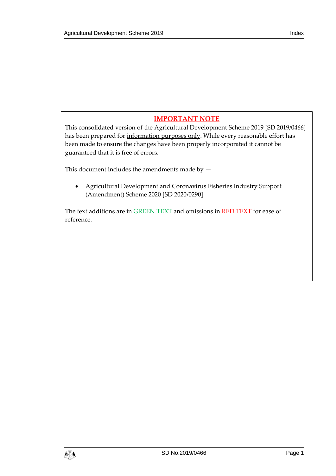# **IMPORTANT NOTE**

This consolidated version of the Agricultural Development Scheme 2019 [SD 2019/0466] has been prepared for information purposes only. While every reasonable effort has been made to ensure the changes have been properly incorporated it cannot be guaranteed that it is free of errors.

This document includes the amendments made by —

 Agricultural Development and Coronavirus Fisheries Industry Support (Amendment) Scheme 2020 [SD 2020/0290]

The text additions are in GREEN TEXT and omissions in RED TEXT for ease of reference.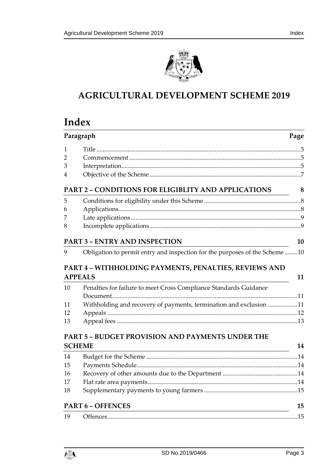

# **AGRICULTURAL DEVELOPMENT SCHEME 2019**

# **Index**

| Paragraph      |                                                                                                  | Page |
|----------------|--------------------------------------------------------------------------------------------------|------|
| 1              |                                                                                                  |      |
| 2              |                                                                                                  |      |
| 3              |                                                                                                  |      |
| 4              |                                                                                                  |      |
|                | <b>PART 2 - CONDITIONS FOR ELIGIBLITY AND APPLICATIONS</b>                                       | 8    |
| 5              |                                                                                                  |      |
| 6              |                                                                                                  |      |
| 7              |                                                                                                  |      |
| 8              |                                                                                                  |      |
|                | <b>PART 3 - ENTRY AND INSPECTION</b>                                                             | 10   |
| 9              | Obligation to permit entry and inspection for the purposes of the Scheme 10                      |      |
| <b>APPEALS</b> | PART 4 - WITHHOLDING PAYMENTS, PENALTIES, REVIEWS AND                                            | 11   |
| 10             | Penalties for failure to meet Cross Compliance Standards Guidance                                |      |
|                |                                                                                                  |      |
| 11             | Withholding and recovery of payments, termination and exclusion 11                               |      |
| 12             |                                                                                                  |      |
| 13             |                                                                                                  |      |
|                | <b>PART 5 - BUDGET PROVISION AND PAYMENTS UNDER THE</b>                                          |      |
| <b>SCHEME</b>  |                                                                                                  | 14   |
| 14             |                                                                                                  |      |
| 15             |                                                                                                  |      |
| 16             |                                                                                                  |      |
| 17             |                                                                                                  |      |
| 18             |                                                                                                  |      |
|                | <b>PART 6 - OFFENCES</b><br><u> 1980 - Johann Barn, mars an t-Amerikaansk politiker (* 1908)</u> | 15   |
| 19             |                                                                                                  |      |

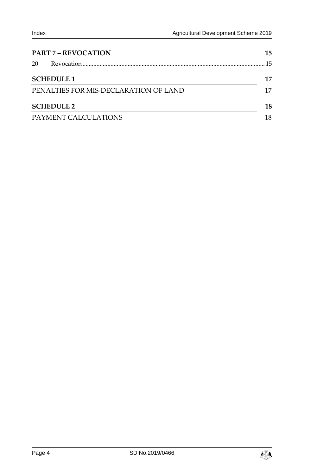| <b>PART 7 - REVOCATION</b>            | 15 |
|---------------------------------------|----|
| 20                                    | 15 |
| <b>SCHEDULE 1</b>                     | 17 |
| PENALTIES FOR MIS-DECLARATION OF LAND | 17 |
| <b>SCHEDULE 2</b>                     | 18 |
| PAYMENT CALCULATIONS                  |    |

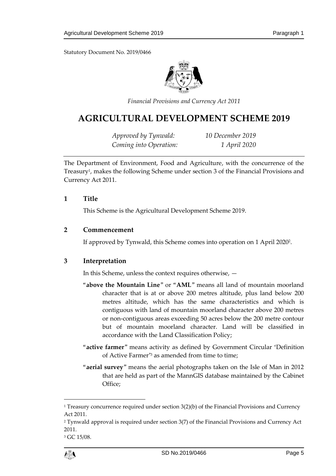Statutory Document No. 2019/0466



*Financial Provisions and Currency Act 2011*

# **AGRICULTURAL DEVELOPMENT SCHEME 2019**

*Approved by Tynwald: 10 December 2019 Coming into Operation: 1 April 2020*

The Department of Environment, Food and Agriculture, with the concurrence of the Treasury<sup>1</sup>, makes the following Scheme under section 3 of the Financial Provisions and Currency Act 2011.

#### <span id="page-4-0"></span>**1 Title**

This Scheme is the Agricultural Development Scheme 2019.

#### <span id="page-4-1"></span>**2 Commencement**

If approved by Tynwald, this Scheme comes into operation on 1 April 2020<sup>2</sup> .

#### <span id="page-4-2"></span>**3 Interpretation**

In this Scheme, unless the context requires otherwise, —

- "**above the Mountain Line**" or "**AML**" means all land of mountain moorland character that is at or above 200 metres altitude, plus land below 200 metres altitude, which has the same characteristics and which is contiguous with land of mountain moorland character above 200 metres or non-contiguous areas exceeding 50 acres below the 200 metre contour but of mountain moorland character. Land will be classified in accordance with the Land Classification Policy;
- "**active farmer**" means activity as defined by Government Circular 'Definition of Active Farmer' <sup>3</sup> as amended from time to time;
- "**aerial survey**" means the aerial photographs taken on the Isle of Man in 2012 that are held as part of the MannGIS database maintained by the Cabinet Office;

<sup>&</sup>lt;sup>3</sup> GC 15/08.



 $1$  Treasury concurrence required under section  $3(2)(b)$  of the Financial Provisions and Currency Act 2011.

<sup>2</sup> Tynwald approval is required under section 3(7) of the Financial Provisions and Currency Act 2011.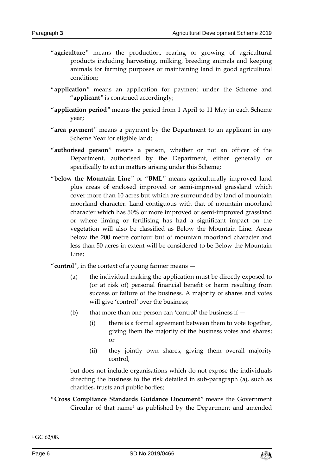- "**agriculture**" means the production, rearing or growing of agricultural products including harvesting, milking, breeding animals and keeping animals for farming purposes or maintaining land in good agricultural condition;
- "**application**" means an application for payment under the Scheme and "**applicant**" is construed accordingly;
- "**application period**" means the period from 1 April to 11 May in each Scheme year;
- "**area payment**" means a payment by the Department to an applicant in any Scheme Year for eligible land;
- "**authorised person**" means a person, whether or not an officer of the Department, authorised by the Department, either generally or specifically to act in matters arising under this Scheme;
- "**below the Mountain Line**" or "**BML**" means agriculturally improved land plus areas of enclosed improved or semi-improved grassland which cover more than 10 acres but which are surrounded by land of mountain moorland character. Land contiguous with that of mountain moorland character which has 50% or more improved or semi-improved grassland or where liming or fertilising has had a significant impact on the vegetation will also be classified as Below the Mountain Line. Areas below the 200 metre contour but of mountain moorland character and less than 50 acres in extent will be considered to be Below the Mountain Line;
- "**control**", in the context of a young farmer means
	- (a) the individual making the application must be directly exposed to (or at risk of) personal financial benefit or harm resulting from success or failure of the business. A majority of shares and votes will give 'control' over the business;
	- (b) that more than one person can 'control' the business if  $-$ 
		- (i) there is a formal agreement between them to vote together, giving them the majority of the business votes and shares; or
		- (ii) they jointly own shares, giving them overall majority control,

but does not include organisations which do not expose the individuals directing the business to the risk detailed in sub-paragraph (a), such as charities, trusts and public bodies;

"**Cross Compliance Standards Guidance Document**" means the Government Circular of that name<sup>4</sup> as published by the Department and amended

-



<sup>4</sup> GC 62/08.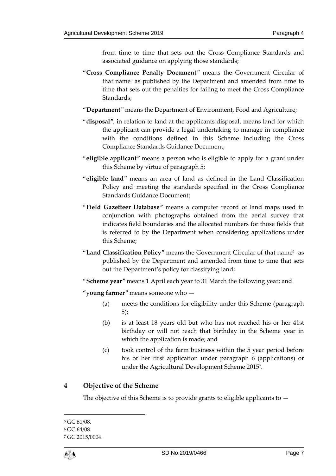from time to time that sets out the Cross Compliance Standards and associated guidance on applying those standards;

- "**Cross Compliance Penalty Document**" means the Government Circular of that name<sup>5</sup> as published by the Department and amended from time to time that sets out the penalties for failing to meet the Cross Compliance Standards;
- "**Department**" means the Department of Environment, Food and Agriculture;
- "**disposal**", in relation to land at the applicants disposal, means land for which the applicant can provide a legal undertaking to manage in compliance with the conditions defined in this Scheme including the Cross Compliance Standards Guidance Document;
- "**eligible applicant**" means a person who is eligible to apply for a grant under this Scheme by virtue of paragraph 5;
- "**eligible land**" means an area of land as defined in the Land Classification Policy and meeting the standards specified in the Cross Compliance Standards Guidance Document;
- "**Field Gazetteer Database**" means a computer record of land maps used in conjunction with photographs obtained from the aerial survey that indicates field boundaries and the allocated numbers for those fields that is referred to by the Department when considering applications under this Scheme;
- "**Land Classification Policy**" means the Government Circular of that name<sup>6</sup> as published by the Department and amended from time to time that sets out the Department's policy for classifying land;
- "**Scheme year**" means 1 April each year to 31 March the following year; and

"y**oung farmer**" means someone who —

- (a) meets the conditions for eligibility under this Scheme (paragraph 5);
- (b) is at least 18 years old but who has not reached his or her 41st birthday or will not reach that birthday in the Scheme year in which the application is made; and
- (c) took control of the farm business within the 5 year period before his or her first application under paragraph 6 (applications) or under the Agricultural Development Scheme 2015<sup>7</sup> .

## <span id="page-6-0"></span>**4 Objective of the Scheme**

The objective of this Scheme is to provide grants to eligible applicants to  $-$ 

<sup>5</sup> GC 61/08.

<sup>6</sup> GC 64/08.

<sup>7</sup> GC 2015/0004.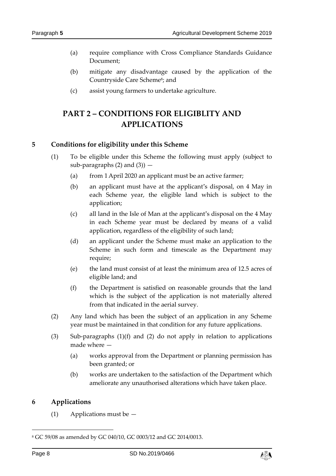- (a) require compliance with Cross Compliance Standards Guidance Document;
- (b) mitigate any disadvantage caused by the application of the Countryside Care Scheme<sup>8</sup>; and
- (c) assist young farmers to undertake agriculture.

# <span id="page-7-0"></span>**PART 2 – CONDITIONS FOR ELIGIBLITY AND APPLICATIONS**

#### <span id="page-7-1"></span>**5 Conditions for eligibility under this Scheme**

- (1) To be eligible under this Scheme the following must apply (subject to sub-paragraphs  $(2)$  and  $(3)$ )  $-$ 
	- (a) from 1April 2020 an applicant must be an active farmer;
	- (b) an applicant must have at the applicant's disposal, on 4 May in each Scheme year, the eligible land which is subject to the application;
	- (c) all land in the Isle of Man at the applicant's disposal on the 4 May in each Scheme year must be declared by means of a valid application, regardless of the eligibility of such land;
	- (d) an applicant under the Scheme must make an application to the Scheme in such form and timescale as the Department may require;
	- (e) the land must consist of at least the minimum area of 12.5 acres of eligible land; and
	- (f) the Department is satisfied on reasonable grounds that the land which is the subject of the application is not materially altered from that indicated in the aerial survey.
- (2) Any land which has been the subject of an application in any Scheme year must be maintained in that condition for any future applications.
- (3) Sub-paragraphs (1)(f) and (2) do not apply in relation to applications made where —
	- (a) works approval from the Department or planning permission has been granted; or
	- (b) works are undertaken to the satisfaction of the Department which ameliorate any unauthorised alterations which have taken place.

#### <span id="page-7-2"></span>**6 Applications**

(1) Applications must be —

-



<sup>8</sup> GC 59/08 as amended by GC 040/10, GC 0003/12 and GC 2014/0013.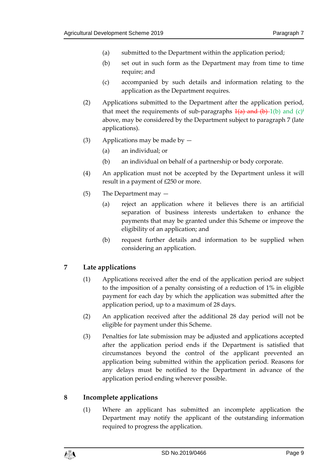- (a) submitted to the Department within the application period;
- (b) set out in such form as the Department may from time to time require; and
- (c) accompanied by such details and information relating to the application as the Department requires.
- (2) Applications submitted to the Department after the application period, that meet the requirements of sub-paragraphs  $\frac{1}{a}$  and  $\frac{1}{b}$  1(b) and  $\frac{1}{c}$ <sup>i</sup> above, may be considered by the Department subject to paragraph 7 (late applications).
- (3) Applications may be made by  $-$ 
	- (a) an individual; or
	- (b) an individual on behalf of a partnership or body corporate.
- (4) An application must not be accepted by the Department unless it will result in a payment of £250 or more.
- (5) The Department may
	- (a) reject an application where it believes there is an artificial separation of business interests undertaken to enhance the payments that may be granted under this Scheme or improve the eligibility of an application; and
	- (b) request further details and information to be supplied when considering an application.

## <span id="page-8-0"></span>**7 Late applications**

- (1) Applications received after the end of the application period are subject to the imposition of a penalty consisting of a reduction of 1% in eligible payment for each day by which the application was submitted after the application period, up to a maximum of 28 days.
- (2) An application received after the additional 28 day period will not be eligible for payment under this Scheme.
- (3) Penalties for late submission may be adjusted and applications accepted after the application period ends if the Department is satisfied that circumstances beyond the control of the applicant prevented an application being submitted within the application period. Reasons for any delays must be notified to the Department in advance of the application period ending wherever possible.

#### <span id="page-8-1"></span>**8 Incomplete applications**

(1) Where an applicant has submitted an incomplete application the Department may notify the applicant of the outstanding information required to progress the application.

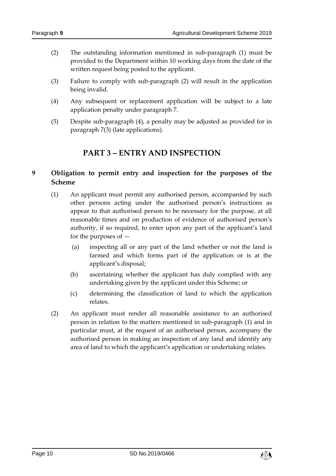- (2) The outstanding information mentioned in sub-paragraph (1) must be provided to the Department within 10 working days from the date of the written request being posted to the applicant.
- (3) Failure to comply with sub-paragraph (2) will result in the application being invalid.
- (4) Any subsequent or replacement application will be subject to a late application penalty under paragraph 7.
- <span id="page-9-0"></span>(5) Despite sub-paragraph (4), a penalty may be adjusted as provided for in paragraph 7(3) (late applications).

# **PART 3 – ENTRY AND INSPECTION**

# <span id="page-9-1"></span>**9 Obligation to permit entry and inspection for the purposes of the Scheme**

- (1) An applicant must permit any authorised person, accompanied by such other persons acting under the authorised person's instructions as appear to that authorised person to be necessary for the purpose, at all reasonable times and on production of evidence of authorised person's authority, if so required, to enter upon any part of the applicant's land for the purposes of —
	- (a) inspecting all or any part of the land whether or not the land is farmed and which forms part of the application or is at the applicant's disposal;
	- (b) ascertaining whether the applicant has duly complied with any undertaking given by the applicant under this Scheme; or
	- (c) determining the classification of land to which the application relates.
- (2) An applicant must render all reasonable assistance to an authorised person in relation to the matters mentioned in sub-paragraph (1) and in particular must, at the request of an authorised person, accompany the authorised person in making an inspection of any land and identify any area of land to which the applicant's application or undertaking relates.

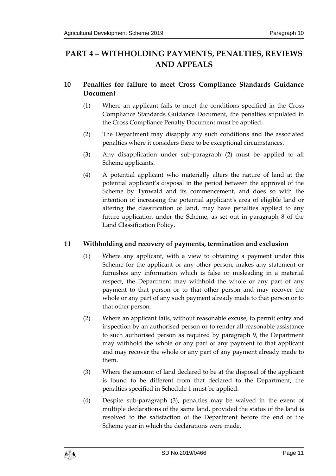# <span id="page-10-0"></span>**PART 4 – WITHHOLDING PAYMENTS, PENALTIES, REVIEWS AND APPEALS**

# <span id="page-10-1"></span>**10 Penalties for failure to meet Cross Compliance Standards Guidance Document**

- (1) Where an applicant fails to meet the conditions specified in the Cross Compliance Standards Guidance Document, the penalties stipulated in the Cross Compliance Penalty Document must be applied.
- (2) The Department may disapply any such conditions and the associated penalties where it considers there to be exceptional circumstances.
- (3) Any disapplication under sub-paragraph (2) must be applied to all Scheme applicants.
- (4) A potential applicant who materially alters the nature of land at the potential applicant's disposal in the period between the approval of the Scheme by Tynwald and its commencement, and does so with the intention of increasing the potential applicant's area of eligible land or altering the classification of land, may have penalties applied to any future application under the Scheme, as set out in paragraph 8 of the Land Classification Policy.

## <span id="page-10-2"></span>**11 Withholding and recovery of payments, termination and exclusion**

- (1) Where any applicant, with a view to obtaining a payment under this Scheme for the applicant or any other person, makes any statement or furnishes any information which is false or misleading in a material respect, the Department may withhold the whole or any part of any payment to that person or to that other person and may recover the whole or any part of any such payment already made to that person or to that other person.
- (2) Where an applicant fails, without reasonable excuse, to permit entry and inspection by an authorised person or to render all reasonable assistance to such authorised person as required by paragraph 9, the Department may withhold the whole or any part of any payment to that applicant and may recover the whole or any part of any payment already made to them.
- (3) Where the amount of land declared to be at the disposal of the applicant is found to be different from that declared to the Department, the penalties specified in Schedule 1 must be applied.
- (4) Despite sub-paragraph (3), penalties may be waived in the event of multiple declarations of the same land, provided the status of the land is resolved to the satisfaction of the Department before the end of the Scheme year in which the declarations were made.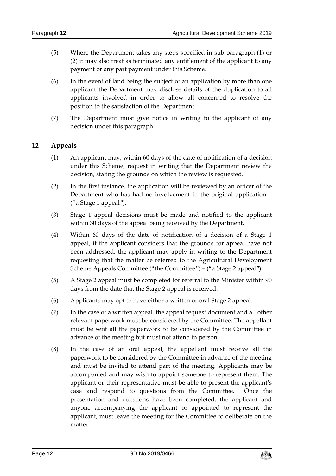- (5) Where the Department takes any steps specified in sub-paragraph (1) or (2) it may also treat as terminated any entitlement of the applicant to any payment or any part payment under this Scheme.
- (6) In the event of land being the subject of an application by more than one applicant the Department may disclose details of the duplication to all applicants involved in order to allow all concerned to resolve the position to the satisfaction of the Department.
- (7) The Department must give notice in writing to the applicant of any decision under this paragraph.

### <span id="page-11-0"></span>**12 Appeals**

- (1) An applicant may, within 60 days of the date of notification of a decision under this Scheme, request in writing that the Department review the decision, stating the grounds on which the review is requested.
- (2) In the first instance, the application will be reviewed by an officer of the Department who has had no involvement in the original application – ("a Stage 1 appeal").
- (3) Stage 1 appeal decisions must be made and notified to the applicant within 30 days of the appeal being received by the Department.
- (4) Within 60 days of the date of notification of a decision of a Stage 1 appeal, if the applicant considers that the grounds for appeal have not been addressed, the applicant may apply in writing to the Department requesting that the matter be referred to the Agricultural Development Scheme Appeals Committee ("the Committee") – ("a Stage 2 appeal").
- (5) A Stage 2 appeal must be completed for referral to the Minister within 90 days from the date that the Stage 2 appeal is received.
- (6) Applicants may opt to have either a written or oral Stage 2 appeal.
- (7) In the case of a written appeal, the appeal request document and all other relevant paperwork must be considered by the Committee. The appellant must be sent all the paperwork to be considered by the Committee in advance of the meeting but must not attend in person.
- (8) In the case of an oral appeal, the appellant must receive all the paperwork to be considered by the Committee in advance of the meeting and must be invited to attend part of the meeting. Applicants may be accompanied and may wish to appoint someone to represent them. The applicant or their representative must be able to present the applicant's case and respond to questions from the Committee. Once the presentation and questions have been completed, the applicant and anyone accompanying the applicant or appointed to represent the applicant, must leave the meeting for the Committee to deliberate on the matter.

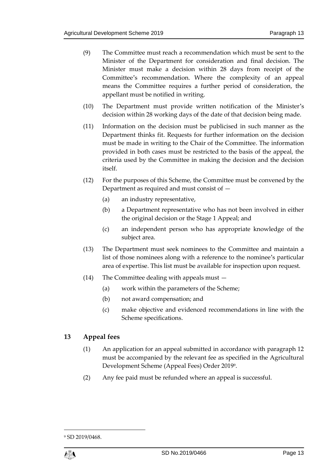- (9) The Committee must reach a recommendation which must be sent to the Minister of the Department for consideration and final decision. The Minister must make a decision within 28 days from receipt of the Committee's recommendation. Where the complexity of an appeal means the Committee requires a further period of consideration, the appellant must be notified in writing.
- (10) The Department must provide written notification of the Minister's decision within 28 working days of the date of that decision being made.
- (11) Information on the decision must be publicised in such manner as the Department thinks fit. Requests for further information on the decision must be made in writing to the Chair of the Committee. The information provided in both cases must be restricted to the basis of the appeal, the criteria used by the Committee in making the decision and the decision itself.
- (12) For the purposes of this Scheme, the Committee must be convened by the Department as required and must consist of —
	- (a) an industry representative,
	- (b) a Department representative who has not been involved in either the original decision or the Stage 1 Appeal; and
	- (c) an independent person who has appropriate knowledge of the subject area.
- (13) The Department must seek nominees to the Committee and maintain a list of those nominees along with a reference to the nominee's particular area of expertise. This list must be available for inspection upon request.
- (14) The Committee dealing with appeals must
	- (a) work within the parameters of the Scheme;
	- (b) not award compensation; and
	- (c) make objective and evidenced recommendations in line with the Scheme specifications.

#### <span id="page-12-0"></span>**13 Appeal fees**

- (1) An application for an appeal submitted in accordance with paragraph 12 must be accompanied by the relevant fee as specified in the Agricultural Development Scheme (Appeal Fees) Order 2019<sup>9</sup> .
- (2) Any fee paid must be refunded where an appeal is successful.

<sup>9</sup> SD 2019/0468.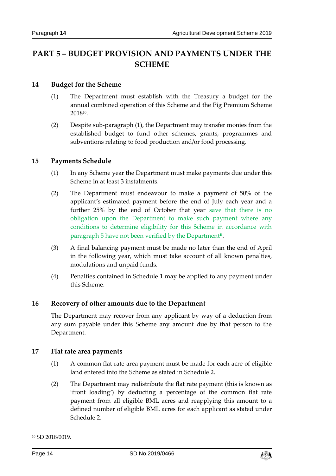# <span id="page-13-0"></span>**PART 5 – BUDGET PROVISION AND PAYMENTS UNDER THE SCHEME**

#### <span id="page-13-1"></span>**14 Budget for the Scheme**

- (1) The Department must establish with the Treasury a budget for the annual combined operation of this Scheme and the Pig Premium Scheme 2018<sup>10</sup> .
- (2) Despite sub-paragraph (1), the Department may transfer monies from the established budget to fund other schemes, grants, programmes and subventions relating to food production and/or food processing.

#### <span id="page-13-2"></span>**15 Payments Schedule**

- (1) In any Scheme year the Department must make payments due under this Scheme in at least 3 instalments.
- (2) The Department must endeavour to make a payment of 50% of the applicant's estimated payment before the end of July each year and a further 25% by the end of October that year save that there is no obligation upon the Department to make such payment where any conditions to determine eligibility for this Scheme in accordance with paragraph 5 have not been verified by the Department**ii** .
- (3) A final balancing payment must be made no later than the end of April in the following year, which must take account of all known penalties, modulations and unpaid funds.
- (4) Penalties contained in Schedule 1 may be applied to any payment under this Scheme.

#### <span id="page-13-3"></span>**16 Recovery of other amounts due to the Department**

The Department may recover from any applicant by way of a deduction from any sum payable under this Scheme any amount due by that person to the Department.

#### <span id="page-13-4"></span>**17 Flat rate area payments**

- (1) A common flat rate area payment must be made for each acre of eligible land entered into the Scheme as stated in Schedule 2.
- (2) The Department may redistribute the flat rate payment (this is known as 'front loading') by deducting a percentage of the common flat rate payment from all eligible BML acres and reapplying this amount to a defined number of eligible BML acres for each applicant as stated under Schedule 2.

-



<sup>10</sup> SD 2018/0019.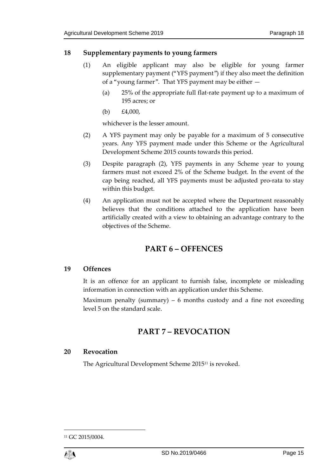#### <span id="page-14-0"></span>**18 Supplementary payments to young farmers**

- (1) An eligible applicant may also be eligible for young farmer supplementary payment ("YFS payment") if they also meet the definition of a "young farmer". That YFS payment may be either —
	- (a) 25% of the appropriate full flat-rate payment up to a maximum of 195 acres; or
	- (b)  $£4,000,$

whichever is the lesser amount.

- (2) A YFS payment may only be payable for a maximum of 5 consecutive years. Any YFS payment made under this Scheme or the Agricultural Development Scheme 2015 counts towards this period.
- (3) Despite paragraph (2), YFS payments in any Scheme year to young farmers must not exceed 2% of the Scheme budget. In the event of the cap being reached, all YFS payments must be adjusted pro-rata to stay within this budget.
- (4) An application must not be accepted where the Department reasonably believes that the conditions attached to the application have been artificially created with a view to obtaining an advantage contrary to the objectives of the Scheme.

# **PART 6 – OFFENCES**

#### <span id="page-14-2"></span><span id="page-14-1"></span>**19 Offences**

It is an offence for an applicant to furnish false, incomplete or misleading information in connection with an application under this Scheme.

<span id="page-14-3"></span>Maximum penalty (summary) – 6 months custody and a fine not exceeding level 5 on the standard scale.

# **PART 7 – REVOCATION**

#### <span id="page-14-4"></span>**20 Revocation**

The Agricultural Development Scheme 2015<sup>11</sup> is revoked.

<sup>11</sup> GC 2015/0004.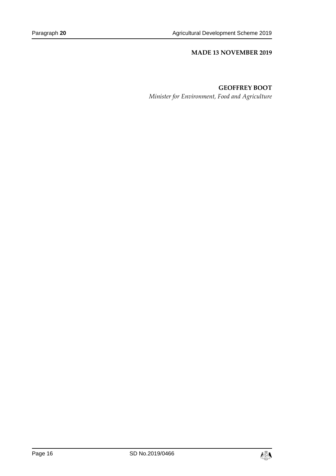#### **MADE 13 NOVEMBER 2019**

#### **GEOFFREY BOOT**

*Minister for Environment, Food and Agriculture*

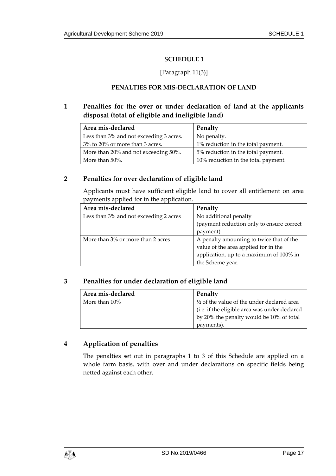#### **SCHEDULE 1**

#### [Paragraph 11(3)]

#### **PENALTIES FOR MIS-DECLARATION OF LAND**

### <span id="page-16-1"></span><span id="page-16-0"></span>**1 Penalties for the over or under declaration of land at the applicants disposal (total of eligible and ineligible land)**

| Area mis-declared                       | Penalty                             |
|-----------------------------------------|-------------------------------------|
| Less than 3% and not exceeding 3 acres. | No penalty.                         |
| 3% to 20% or more than 3 acres.         | 1% reduction in the total payment.  |
| More than 20% and not exceeding 50%.    | 5% reduction in the total payment.  |
| More than 50%.                          | 10% reduction in the total payment. |

#### **2 Penalties for over declaration of eligible land**

Applicants must have sufficient eligible land to cover all entitlement on area payments applied for in the application.

| Area mis-declared                      | Penalty                                   |  |
|----------------------------------------|-------------------------------------------|--|
| Less than 3% and not exceeding 2 acres | No additional penalty                     |  |
|                                        | (payment reduction only to ensure correct |  |
|                                        | payment)                                  |  |
| More than 3% or more than 2 acres      | A penalty amounting to twice that of the  |  |
|                                        | value of the area applied for in the      |  |
|                                        | application, up to a maximum of 100% in   |  |
|                                        | the Scheme year.                          |  |

#### **3 Penalties for under declaration of eligible land**

| Area mis-declared | Penalty                                               |  |
|-------------------|-------------------------------------------------------|--|
| More than 10%     | $\frac{1}{2}$ of the value of the under declared area |  |
|                   | (i.e. if the eligible area was under declared         |  |
|                   | by 20% the penalty would be 10% of total              |  |
|                   | payments).                                            |  |

#### **4 Application of penalties**

The penalties set out in paragraphs 1 to 3 of this Schedule are applied on a whole farm basis, with over and under declarations on specific fields being netted against each other.

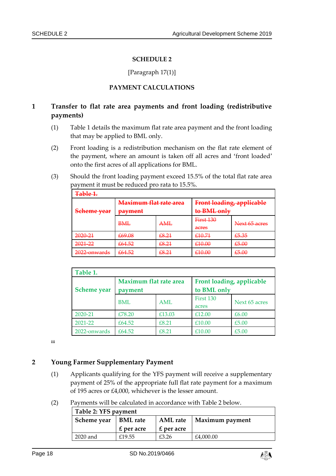#### **SCHEDULE 2**

#### [Paragraph 17(1)]

#### **PAYMENT CALCULATIONS**

## <span id="page-17-1"></span><span id="page-17-0"></span>**1 Transfer to flat rate area payments and front loading (redistributive payments)**

- (1) Table 1 details the maximum flat rate area payment and the front loading that may be applied to BML only.
- (2) Front loading is a redistribution mechanism on the flat rate element of the payment, where an amount is taken off all acres and 'front loaded' onto the first acres of all applications for BML.
- (3) Should the front loading payment exceed 15.5% of the total flat rate area payment it must be reduced pro rata to 15.5%.

| Table 1.                                  |                               |                |                           |                           |
|-------------------------------------------|-------------------------------|----------------|---------------------------|---------------------------|
|                                           | <b>Maximum flat rate area</b> |                | Front loading, applicable |                           |
| Seheme year                               | payment                       |                | to <b>BML</b> only        |                           |
|                                           | <b>BML</b>                    | AML            | <b>First 130</b><br>acres | Next 65 acres             |
| 2020-21                                   | €69.08                        | £8.21          | £10.71                    | £5.35                     |
| 2021-22                                   | £64.52                        | £8.21          | £10.00                    | £5.00                     |
| $2022$ opwarde<br><del>2022 onwards</del> | £64.52                        | LQ 71<br>60.ZT | £10.00                    | £5.00<br><del>20.00</del> |

| Table 1.           |                                          |            |                                          |               |
|--------------------|------------------------------------------|------------|------------------------------------------|---------------|
| <b>Scheme</b> year | <b>Maximum flat rate area</b><br>payment |            | Front loading, applicable<br>to BML only |               |
|                    | <b>BML</b>                               | <b>AML</b> | First 130<br>acres                       | Next 65 acres |
| 2020-21            | £78.20                                   | £13.03     | £12.00                                   | £6.00         |
| 2021-22            | £64.52                                   | £8.21      | £10.00                                   | £5.00         |
| 2022-onwards       | £64.52                                   | £8.21      | £10.00                                   | £5.00         |

**iii**

### **2 Young Farmer Supplementary Payment**

- (1) Applicants qualifying for the YFS payment will receive a supplementary payment of 25% of the appropriate full flat rate payment for a maximum of 195 acres or £4,000, whichever is the lesser amount.
- (2) Payments will be calculated in accordance with Table 2 below.

| Table 2: YFS payment |                 |                 |                 |  |
|----------------------|-----------------|-----------------|-----------------|--|
| Scheme year          | <b>BML</b> rate | <b>AML</b> rate | Maximum payment |  |
|                      | $E$ per acre    | $E$ per acre    |                 |  |
| 2020 and             | £19.55          | £3.26           | £4,000.00       |  |

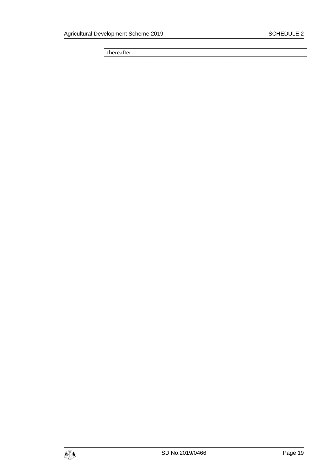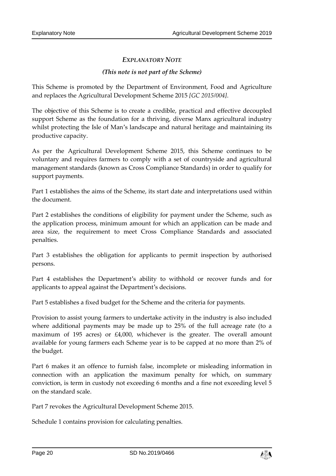### *EXPLANATORY NOTE*

#### *(This note is not part of the Scheme)*

This Scheme is promoted by the Department of Environment, Food and Agriculture and replaces the Agricultural Development Scheme 2015 *[GC 2015/004]*.

The objective of this Scheme is to create a credible, practical and effective decoupled support Scheme as the foundation for a thriving, diverse Manx agricultural industry whilst protecting the Isle of Man's landscape and natural heritage and maintaining its productive capacity.

As per the Agricultural Development Scheme 2015, this Scheme continues to be voluntary and requires farmers to comply with a set of countryside and agricultural management standards (known as Cross Compliance Standards) in order to qualify for support payments.

Part 1 establishes the aims of the Scheme, its start date and interpretations used within the document.

Part 2 establishes the conditions of eligibility for payment under the Scheme, such as the application process, minimum amount for which an application can be made and area size, the requirement to meet Cross Compliance Standards and associated penalties.

Part 3 establishes the obligation for applicants to permit inspection by authorised persons.

Part 4 establishes the Department's ability to withhold or recover funds and for applicants to appeal against the Department's decisions.

Part 5 establishes a fixed budget for the Scheme and the criteria for payments.

Provision to assist young farmers to undertake activity in the industry is also included where additional payments may be made up to 25% of the full acreage rate (to a maximum of 195 acres) or £4,000, whichever is the greater. The overall amount available for young farmers each Scheme year is to be capped at no more than 2% of the budget.

Part 6 makes it an offence to furnish false, incomplete or misleading information in connection with an application the maximum penalty for which, on summary conviction, is term in custody not exceeding 6 months and a fine not exceeding level 5 on the standard scale.

Part 7 revokes the Agricultural Development Scheme 2015.

Schedule 1 contains provision for calculating penalties.